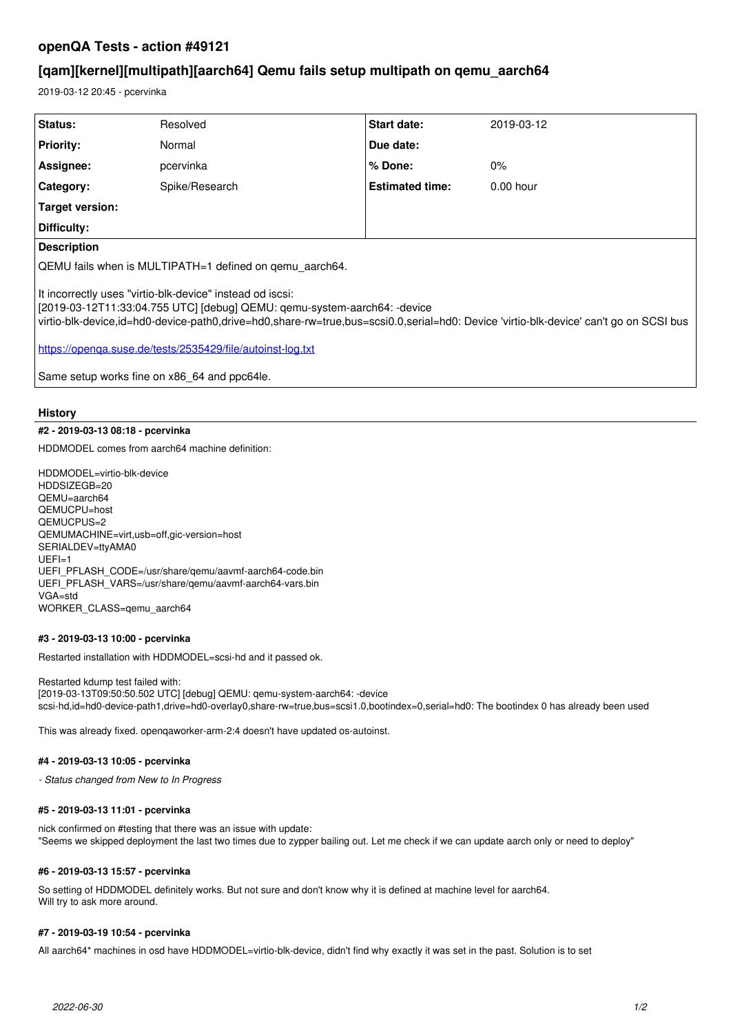# **openQA Tests - action #49121**

# **[qam][kernel][multipath][aarch64] Qemu fails setup multipath on qemu\_aarch64**

2019-03-12 20:45 - pcervinka

| Status:                                                                                                                                                                                                                                                                                                                                                                                       | Resolved       | <b>Start date:</b>     | 2019-03-12  |
|-----------------------------------------------------------------------------------------------------------------------------------------------------------------------------------------------------------------------------------------------------------------------------------------------------------------------------------------------------------------------------------------------|----------------|------------------------|-------------|
| Priority:                                                                                                                                                                                                                                                                                                                                                                                     | Normal         | Due date:              |             |
| Assignee:                                                                                                                                                                                                                                                                                                                                                                                     | pcervinka      | $%$ Done:              | $0\%$       |
| Category:                                                                                                                                                                                                                                                                                                                                                                                     | Spike/Research | <b>Estimated time:</b> | $0.00$ hour |
| Target version:                                                                                                                                                                                                                                                                                                                                                                               |                |                        |             |
| Difficulty:                                                                                                                                                                                                                                                                                                                                                                                   |                |                        |             |
| <b>Description</b>                                                                                                                                                                                                                                                                                                                                                                            |                |                        |             |
| QEMU fails when is MULTIPATH=1 defined on gemu aarch64.                                                                                                                                                                                                                                                                                                                                       |                |                        |             |
| It incorrectly uses "virtio-blk-device" instead od iscsi:<br> [2019-03-12T11:33:04.755 UTC] [debug] QEMU: qemu-system-aarch64: -device<br>virtio-blk-device,id=hd0-device-path0,drive=hd0,share-rw=true,bus=scsi0.0,serial=hd0: Device 'virtio-blk-device' can't go on SCSI bus<br>https://openga.suse.de/tests/2535429/file/autoinst-log.txt<br>Same setup works fine on x86_64 and ppc64le. |                |                        |             |

### **History**

## **#2 - 2019-03-13 08:18 - pcervinka**

HDDMODEL comes from aarch64 machine definition:

HDDMODEL=virtio-blk-device HDDSIZEGB=20 QEMU=aarch64 QEMUCPU=host QEMUCPUS=2 QEMUMACHINE=virt,usb=off,gic-version=host SERIALDEV=ttyAMA0 UEFI=1 UEFI\_PFLASH\_CODE=/usr/share/qemu/aavmf-aarch64-code.bin UEFI\_PFLASH\_VARS=/usr/share/qemu/aavmf-aarch64-vars.bin VGA=std WORKER\_CLASS=qemu\_aarch64

#### **#3 - 2019-03-13 10:00 - pcervinka**

Restarted installation with HDDMODEL=scsi-hd and it passed ok.

Restarted kdump test failed with: [2019-03-13T09:50:50.502 UTC] [debug] QEMU: qemu-system-aarch64: -device scsi-hd,id=hd0-device-path1,drive=hd0-overlay0,share-rw=true,bus=scsi1.0,bootindex=0,serial=hd0: The bootindex 0 has already been used

This was already fixed. openqaworker-arm-2:4 doesn't have updated os-autoinst.

#### **#4 - 2019-03-13 10:05 - pcervinka**

*- Status changed from New to In Progress*

#### **#5 - 2019-03-13 11:01 - pcervinka**

nick confirmed on #testing that there was an issue with update: "Seems we skipped deployment the last two times due to zypper bailing out. Let me check if we can update aarch only or need to deploy"

#### **#6 - 2019-03-13 15:57 - pcervinka**

So setting of HDDMODEL definitely works. But not sure and don't know why it is defined at machine level for aarch64. Will try to ask more around.

#### **#7 - 2019-03-19 10:54 - pcervinka**

All aarch64\* machines in osd have HDDMODEL=virtio-blk-device, didn't find why exactly it was set in the past. Solution is to set